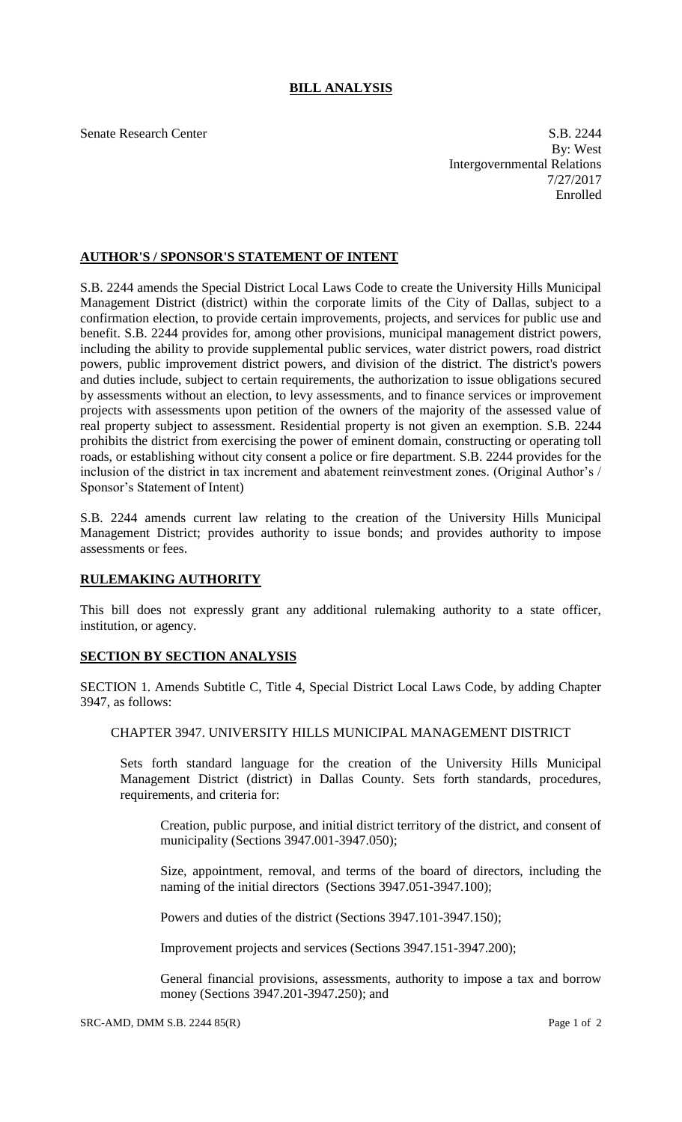## **BILL ANALYSIS**

Senate Research Center S.B. 2244 By: West Intergovernmental Relations 7/27/2017 Enrolled

## **AUTHOR'S / SPONSOR'S STATEMENT OF INTENT**

S.B. 2244 amends the Special District Local Laws Code to create the University Hills Municipal Management District (district) within the corporate limits of the City of Dallas, subject to a confirmation election, to provide certain improvements, projects, and services for public use and benefit. S.B. 2244 provides for, among other provisions, municipal management district powers, including the ability to provide supplemental public services, water district powers, road district powers, public improvement district powers, and division of the district. The district's powers and duties include, subject to certain requirements, the authorization to issue obligations secured by assessments without an election, to levy assessments, and to finance services or improvement projects with assessments upon petition of the owners of the majority of the assessed value of real property subject to assessment. Residential property is not given an exemption. S.B. 2244 prohibits the district from exercising the power of eminent domain, constructing or operating toll roads, or establishing without city consent a police or fire department. S.B. 2244 provides for the inclusion of the district in tax increment and abatement reinvestment zones. (Original Author's / Sponsor's Statement of Intent)

S.B. 2244 amends current law relating to the creation of the University Hills Municipal Management District; provides authority to issue bonds; and provides authority to impose assessments or fees.

## **RULEMAKING AUTHORITY**

This bill does not expressly grant any additional rulemaking authority to a state officer, institution, or agency.

## **SECTION BY SECTION ANALYSIS**

SECTION 1. Amends Subtitle C, Title 4, Special District Local Laws Code, by adding Chapter 3947, as follows:

CHAPTER 3947. UNIVERSITY HILLS MUNICIPAL MANAGEMENT DISTRICT

Sets forth standard language for the creation of the University Hills Municipal Management District (district) in Dallas County. Sets forth standards, procedures, requirements, and criteria for:

Creation, public purpose, and initial district territory of the district, and consent of municipality (Sections 3947.001-3947.050);

Size, appointment, removal, and terms of the board of directors, including the naming of the initial directors (Sections 3947.051-3947.100);

Powers and duties of the district (Sections 3947.101-3947.150);

Improvement projects and services (Sections 3947.151-3947.200);

General financial provisions, assessments, authority to impose a tax and borrow money (Sections 3947.201-3947.250); and